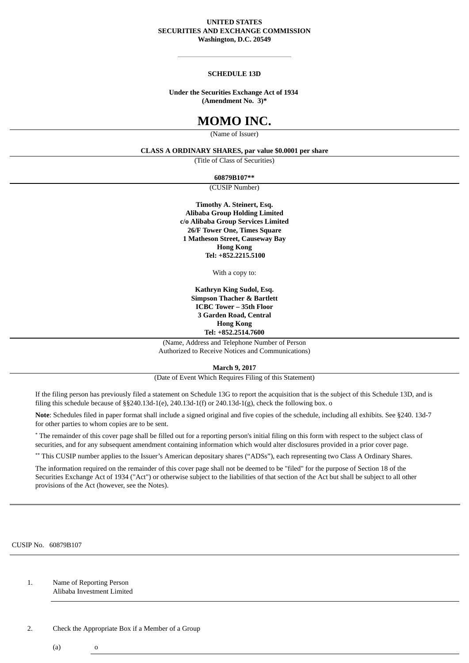## **UNITED STATES SECURITIES AND EXCHANGE COMMISSION Washington, D.C. 20549**

## **SCHEDULE 13D**

### **Under the Securities Exchange Act of 1934 (Amendment No. 3)\***

## **MOMO INC.**

(Name of Issuer)

## **CLASS A ORDINARY SHARES, par value \$0.0001 per share**

(Title of Class of Securities)

**60879B107\*\***

(CUSIP Number)

**Timothy A. Steinert, Esq. Alibaba Group Holding Limited c/o Alibaba Group Services Limited 26/F Tower One, Times Square 1 Matheson Street, Causeway Bay Hong Kong Tel: +852.2215.5100**

With a copy to:

**Kathryn King Sudol, Esq. Simpson Thacher & Bartlett ICBC Tower – 35th Floor 3 Garden Road, Central Hong Kong Tel: +852.2514.7600**

(Name, Address and Telephone Number of Person Authorized to Receive Notices and Communications)

**March 9, 2017**

(Date of Event Which Requires Filing of this Statement)

If the filing person has previously filed a statement on Schedule 13G to report the acquisition that is the subject of this Schedule 13D, and is filing this schedule because of  $\S$ §240.13d-1(e), 240.13d-1(f) or 240.13d-1(g), check the following box. o

**Note**: Schedules filed in paper format shall include a signed original and five copies of the schedule, including all exhibits. See §240. 13d-7 for other parties to whom copies are to be sent.

\* The remainder of this cover page shall be filled out for a reporting person's initial filing on this form with respect to the subject class of securities, and for any subsequent amendment containing information which would alter disclosures provided in a prior cover page.

\*\* This CUSIP number applies to the Issuer's American depositary shares ("ADSs"), each representing two Class A Ordinary Shares.

The information required on the remainder of this cover page shall not be deemed to be "filed" for the purpose of Section 18 of the Securities Exchange Act of 1934 ("Act") or otherwise subject to the liabilities of that section of the Act but shall be subject to all other provisions of the Act (however, see the Notes).

CUSIP No. 60879B107

1. Name of Reporting Person Alibaba Investment Limited

2. Check the Appropriate Box if a Member of a Group

 $(a)$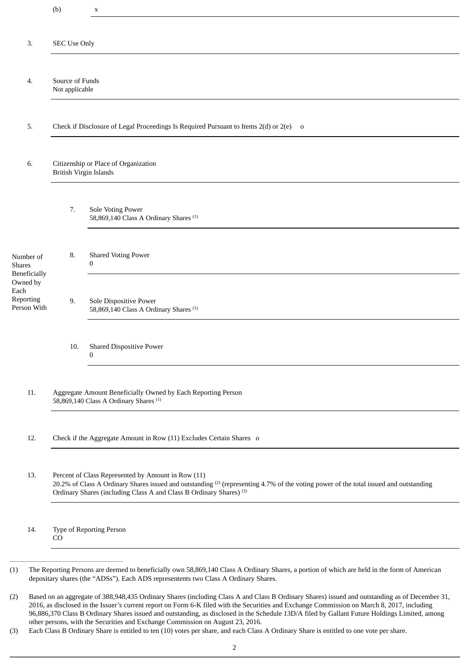|                                                                                            | (b)                                                                                                                                                                                                                                                                                       | X                                                                           |  |  |  |  |  |  |  |
|--------------------------------------------------------------------------------------------|-------------------------------------------------------------------------------------------------------------------------------------------------------------------------------------------------------------------------------------------------------------------------------------------|-----------------------------------------------------------------------------|--|--|--|--|--|--|--|
| 3.                                                                                         | <b>SEC Use Only</b>                                                                                                                                                                                                                                                                       |                                                                             |  |  |  |  |  |  |  |
|                                                                                            |                                                                                                                                                                                                                                                                                           |                                                                             |  |  |  |  |  |  |  |
| 4.                                                                                         | Source of Funds<br>Not applicable                                                                                                                                                                                                                                                         |                                                                             |  |  |  |  |  |  |  |
| 5.                                                                                         | Check if Disclosure of Legal Proceedings Is Required Pursuant to Items 2(d) or 2(e) o                                                                                                                                                                                                     |                                                                             |  |  |  |  |  |  |  |
| 6.                                                                                         | Citizenship or Place of Organization<br>British Virgin Islands                                                                                                                                                                                                                            |                                                                             |  |  |  |  |  |  |  |
|                                                                                            | 7.                                                                                                                                                                                                                                                                                        | Sole Voting Power<br>58,869,140 Class A Ordinary Shares <sup>(1)</sup>      |  |  |  |  |  |  |  |
| Number of<br><b>Shares</b><br>Beneficially<br>Owned by<br>Each<br>Reporting<br>Person With | 8.                                                                                                                                                                                                                                                                                        | <b>Shared Voting Power</b><br>0                                             |  |  |  |  |  |  |  |
|                                                                                            | 9.                                                                                                                                                                                                                                                                                        | Sole Dispositive Power<br>58,869,140 Class A Ordinary Shares <sup>(1)</sup> |  |  |  |  |  |  |  |
|                                                                                            | <b>Shared Dispositive Power</b><br>10.<br>$\mathbf{0}$                                                                                                                                                                                                                                    |                                                                             |  |  |  |  |  |  |  |
| 11.                                                                                        | Aggregate Amount Beneficially Owned by Each Reporting Person<br>58,869,140 Class A Ordinary Shares <sup>(1)</sup>                                                                                                                                                                         |                                                                             |  |  |  |  |  |  |  |
| 12.                                                                                        | Check if the Aggregate Amount in Row (11) Excludes Certain Shares o                                                                                                                                                                                                                       |                                                                             |  |  |  |  |  |  |  |
| 13.                                                                                        | Percent of Class Represented by Amount in Row (11)<br>20.2% of Class A Ordinary Shares issued and outstanding <sup>(2)</sup> (representing 4.7% of the voting power of the total issued and outstanding<br>Ordinary Shares (including Class A and Class B Ordinary Shares) <sup>(3)</sup> |                                                                             |  |  |  |  |  |  |  |
| 14.                                                                                        | Type of Reporting Person<br>CO                                                                                                                                                                                                                                                            |                                                                             |  |  |  |  |  |  |  |

<sup>(2)</sup> Based on an aggregate of 388,948,435 Ordinary Shares (including Class A and Class B Ordinary Shares) issued and outstanding as of December 31, 2016, as disclosed in the Issuer's current report on Form 6-K filed with the Securities and Exchange Commission on March 8, 2017, including 96,886,370 Class B Ordinary Shares issued and outstanding, as disclosed in the Schedule 13D/A filed by Gallant Future Holdings Limited, among other persons, with the Securities and Exchange Commission on August 23, 2016.

<sup>(3)</sup> Each Class B Ordinary Share is entitled to ten (10) votes per share, and each Class A Ordinary Share is entitled to one vote per share.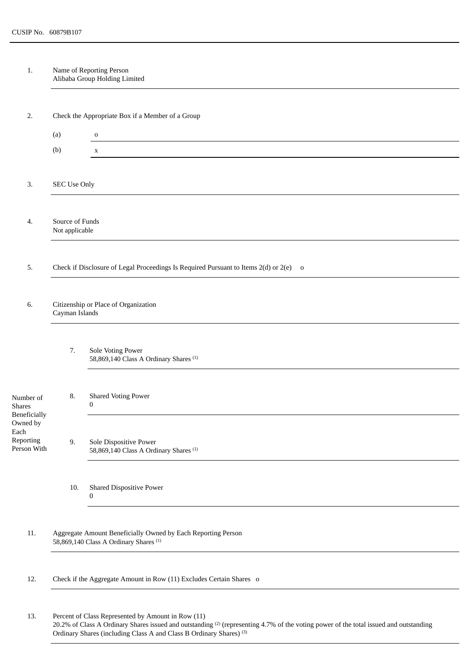1. Name of Reporting Person Alibaba Group Holding Limited

| 2.                                                                                         | Check the Appropriate Box if a Member of a Group                                                                  |                                                                             |  |  |  |  |  |  |
|--------------------------------------------------------------------------------------------|-------------------------------------------------------------------------------------------------------------------|-----------------------------------------------------------------------------|--|--|--|--|--|--|
|                                                                                            | (a)<br>$\mathbf O$                                                                                                |                                                                             |  |  |  |  |  |  |
|                                                                                            | (b)                                                                                                               | $\mathbf X$                                                                 |  |  |  |  |  |  |
|                                                                                            |                                                                                                                   |                                                                             |  |  |  |  |  |  |
| 3.                                                                                         | <b>SEC Use Only</b>                                                                                               |                                                                             |  |  |  |  |  |  |
|                                                                                            |                                                                                                                   |                                                                             |  |  |  |  |  |  |
| 4.                                                                                         | Source of Funds<br>Not applicable                                                                                 |                                                                             |  |  |  |  |  |  |
|                                                                                            |                                                                                                                   |                                                                             |  |  |  |  |  |  |
| 5.                                                                                         | Check if Disclosure of Legal Proceedings Is Required Pursuant to Items 2(d) or 2(e) o                             |                                                                             |  |  |  |  |  |  |
|                                                                                            |                                                                                                                   |                                                                             |  |  |  |  |  |  |
| 6.                                                                                         | Citizenship or Place of Organization<br>Cayman Islands                                                            |                                                                             |  |  |  |  |  |  |
|                                                                                            |                                                                                                                   |                                                                             |  |  |  |  |  |  |
|                                                                                            | 7.                                                                                                                | Sole Voting Power<br>58,869,140 Class A Ordinary Shares <sup>(1)</sup>      |  |  |  |  |  |  |
| Number of<br><b>Shares</b><br>Beneficially<br>Owned by<br>Each<br>Reporting<br>Person With | 8.                                                                                                                | <b>Shared Voting Power</b><br>$\boldsymbol{0}$                              |  |  |  |  |  |  |
|                                                                                            | 9.                                                                                                                | Sole Dispositive Power<br>58,869,140 Class A Ordinary Shares <sup>(1)</sup> |  |  |  |  |  |  |
|                                                                                            | <b>Shared Dispositive Power</b><br>10.<br>$\boldsymbol{0}$                                                        |                                                                             |  |  |  |  |  |  |
|                                                                                            |                                                                                                                   |                                                                             |  |  |  |  |  |  |
| 11.                                                                                        | Aggregate Amount Beneficially Owned by Each Reporting Person<br>58,869,140 Class A Ordinary Shares <sup>(1)</sup> |                                                                             |  |  |  |  |  |  |
| 12.                                                                                        | Check if the Aggregate Amount in Row (11) Excludes Certain Shares o                                               |                                                                             |  |  |  |  |  |  |
| 13.                                                                                        | Percent of Class Represented by Amount in Row (11)                                                                |                                                                             |  |  |  |  |  |  |

20.2% of Class A Ordinary Shares issued and outstanding  $(2)$  (representing 4.7% of the voting power of the total issued and outstanding Ordinary Shares (including Class A and Class B Ordinary Shares) (3)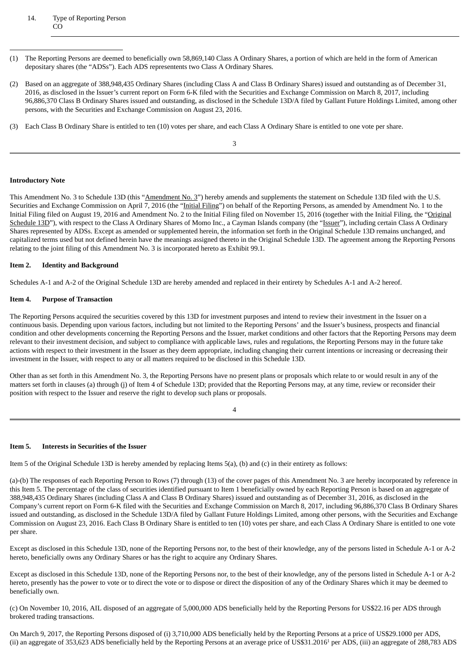## 14. Type of Reporting Person CO

- (1) The Reporting Persons are deemed to beneficially own 58,869,140 Class A Ordinary Shares, a portion of which are held in the form of American depositary shares (the "ADSs"). Each ADS representents two Class A Ordinary Shares.
- (2) Based on an aggregate of 388,948,435 Ordinary Shares (including Class A and Class B Ordinary Shares) issued and outstanding as of December 31, 2016, as disclosed in the Issuer's current report on Form 6-K filed with the Securities and Exchange Commission on March 8, 2017, including 96,886,370 Class B Ordinary Shares issued and outstanding, as disclosed in the Schedule 13D/A filed by Gallant Future Holdings Limited, among other persons, with the Securities and Exchange Commission on August 23, 2016.
- (3) Each Class B Ordinary Share is entitled to ten (10) votes per share, and each Class A Ordinary Share is entitled to one vote per share.

3

## **Introductory Note**

This Amendment No. 3 to Schedule 13D (this "Amendment No. 3") hereby amends and supplements the statement on Schedule 13D filed with the U.S. Securities and Exchange Commission on April 7, 2016 (the "Initial Filing") on behalf of the Reporting Persons, as amended by Amendment No. 1 to the Initial Filing filed on August 19, 2016 and Amendment No. 2 to the Initial Filing filed on November 15, 2016 (together with the Initial Filing, the "Original Schedule 13D"), with respect to the Class A Ordinary Shares of Momo Inc., a Cayman Islands company (the "Issuer"), including certain Class A Ordinary Shares represented by ADSs. Except as amended or supplemented herein, the information set forth in the Original Schedule 13D remains unchanged, and capitalized terms used but not defined herein have the meanings assigned thereto in the Original Schedule 13D. The agreement among the Reporting Persons relating to the joint filing of this Amendment No. 3 is incorporated hereto as Exhibit 99.1.

## **Item 2. Identity and Background**

Schedules A-1 and A-2 of the Original Schedule 13D are hereby amended and replaced in their entirety by Schedules A-1 and A-2 hereof.

## **Item 4. Purpose of Transaction**

The Reporting Persons acquired the securities covered by this 13D for investment purposes and intend to review their investment in the Issuer on a continuous basis. Depending upon various factors, including but not limited to the Reporting Persons' and the Issuer's business, prospects and financial condition and other developments concerning the Reporting Persons and the Issuer, market conditions and other factors that the Reporting Persons may deem relevant to their investment decision, and subject to compliance with applicable laws, rules and regulations, the Reporting Persons may in the future take actions with respect to their investment in the Issuer as they deem appropriate, including changing their current intentions or increasing or decreasing their investment in the Issuer, with respect to any or all matters required to be disclosed in this Schedule 13D.

Other than as set forth in this Amendment No. 3, the Reporting Persons have no present plans or proposals which relate to or would result in any of the matters set forth in clauses (a) through (j) of Item 4 of Schedule 13D; provided that the Reporting Persons may, at any time, review or reconsider their position with respect to the Issuer and reserve the right to develop such plans or proposals.

4

## **Item 5. Interests in Securities of the Issuer**

Item 5 of the Original Schedule 13D is hereby amended by replacing Items 5(a), (b) and (c) in their entirety as follows:

(a)-(b) The responses of each Reporting Person to Rows (7) through (13) of the cover pages of this Amendment No. 3 are hereby incorporated by reference in this Item 5. The percentage of the class of securities identified pursuant to Item 1 beneficially owned by each Reporting Person is based on an aggregate of 388,948,435 Ordinary Shares (including Class A and Class B Ordinary Shares) issued and outstanding as of December 31, 2016, as disclosed in the Company's current report on Form 6-K filed with the Securities and Exchange Commission on March 8, 2017, including 96,886,370 Class B Ordinary Shares issued and outstanding, as disclosed in the Schedule 13D/A filed by Gallant Future Holdings Limited, among other persons, with the Securities and Exchange Commission on August 23, 2016. Each Class B Ordinary Share is entitled to ten (10) votes per share, and each Class A Ordinary Share is entitled to one vote per share.

Except as disclosed in this Schedule 13D, none of the Reporting Persons nor, to the best of their knowledge, any of the persons listed in Schedule A-1 or A-2 hereto, beneficially owns any Ordinary Shares or has the right to acquire any Ordinary Shares.

Except as disclosed in this Schedule 13D, none of the Reporting Persons nor, to the best of their knowledge, any of the persons listed in Schedule A-1 or A-2 hereto, presently has the power to vote or to direct the vote or to dispose or direct the disposition of any of the Ordinary Shares which it may be deemed to beneficially own.

(c) On November 10, 2016, AIL disposed of an aggregate of 5,000,000 ADS beneficially held by the Reporting Persons for US\$22.16 per ADS through brokered trading transactions.

On March 9, 2017, the Reporting Persons disposed of (i) 3,710,000 ADS beneficially held by the Reporting Persons at a price of US\$29.1000 per ADS, (ii) an aggregate of 353,623 ADS beneficially held by the Reporting Persons at an average price of US\$31.2016<sup>1</sup> per ADS, (iii) an aggregate of 288,783 ADS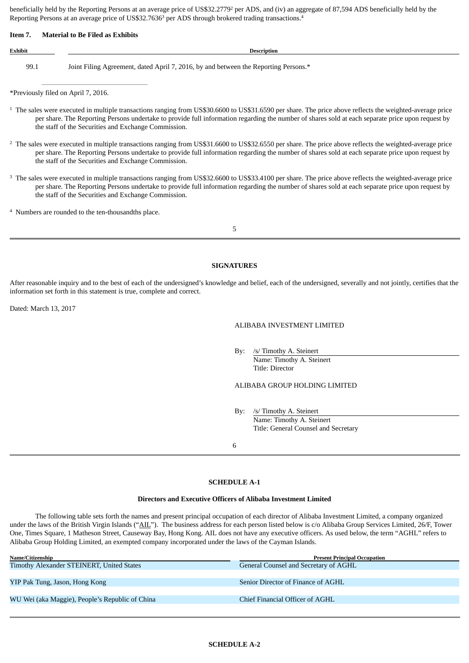beneficially held by the Reporting Persons at an average price of US\$32.2779<sup>2</sup> per ADS, and (iv) an aggregate of 87,594 ADS beneficially held by the Reporting Persons at an average price of US\$32.7636<sup>3</sup> per ADS through brokered trading transactions.<sup>4</sup>

#### **Item 7. Material to Be Filed as Exhibits**

# **Exhibit Description**

99.1 Joint Filing Agreement, dated April 7, 2016, by and between the Reporting Persons.\*

\*Previously filed on April 7, 2016.

- $1$  The sales were executed in multiple transactions ranging from US\$30.6600 to US\$31.6590 per share. The price above reflects the weighted-average price per share. The Reporting Persons undertake to provide full information regarding the number of shares sold at each separate price upon request by the staff of the Securities and Exchange Commission.
- $2$  The sales were executed in multiple transactions ranging from US\$31.6600 to US\$32.6550 per share. The price above reflects the weighted-average price per share. The Reporting Persons undertake to provide full information regarding the number of shares sold at each separate price upon request by the staff of the Securities and Exchange Commission.
- $3$  The sales were executed in multiple transactions ranging from US\$32.6600 to US\$33.4100 per share. The price above reflects the weighted-average price per share. The Reporting Persons undertake to provide full information regarding the number of shares sold at each separate price upon request by the staff of the Securities and Exchange Commission.

<sup>4</sup> Numbers are rounded to the ten-thousandths place.

5

## **SIGNATURES**

After reasonable inquiry and to the best of each of the undersigned's knowledge and belief, each of the undersigned, severally and not jointly, certifies that the information set forth in this statement is true, complete and correct.

Dated: March 13, 2017

## ALIBABA INVESTMENT LIMITED

By: /s/ Timothy A. Steinert Name: Timothy A. Steinert Title: Director

ALIBABA GROUP HOLDING LIMITED

By: /s/ Timothy A. Steinert Name: Timothy A. Steinert Title: General Counsel and Secretary

6

## **SCHEDULE A-1**

#### **Directors and Executive Officers of Alibaba Investment Limited**

The following table sets forth the names and present principal occupation of each director of Alibaba Investment Limited, a company organized under the laws of the British Virgin Islands ("AIL"). The business address for each person listed below is c/o Alibaba Group Services Limited, 26/F, Tower One, Times Square, 1 Matheson Street, Causeway Bay, Hong Kong. AIL does not have any executive officers. As used below, the term "AGHL" refers to Alibaba Group Holding Limited, an exempted company incorporated under the laws of the Cayman Islands.

| Name/Citizenship                                | <b>Present Principal Occupation</b>   |  |  |  |
|-------------------------------------------------|---------------------------------------|--|--|--|
| Timothy Alexander STEINERT, United States       | General Counsel and Secretary of AGHL |  |  |  |
|                                                 |                                       |  |  |  |
| YIP Pak Tung, Jason, Hong Kong                  | Senior Director of Finance of AGHL    |  |  |  |
|                                                 |                                       |  |  |  |
| WU Wei (aka Maggie), People's Republic of China | Chief Financial Officer of AGHL       |  |  |  |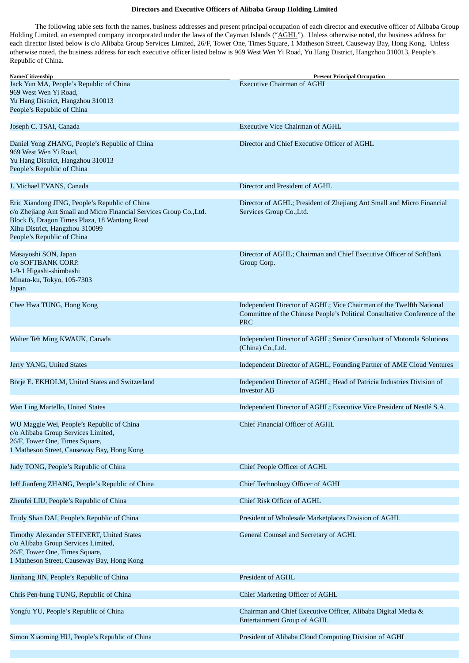## **Directors and Executive Officers of Alibaba Group Holding Limited**

The following table sets forth the names, business addresses and present principal occupation of each director and executive officer of Alibaba Group Holding Limited, an exempted company incorporated under the laws of the Cayman Islands ("AGHL"). Unless otherwise noted, the business address for each director listed below is c/o Alibaba Group Services Limited, 26/F, Tower One, Times Square, 1 Matheson Street, Causeway Bay, Hong Kong. Unless otherwise noted, the business address for each executive officer listed below is 969 West Wen Yi Road, Yu Hang District, Hangzhou 310013, People's Republic of China.

| Name/Citizenship                                                                                                                                                                                                                      | <b>Present Principal Occupation</b>                                                                                                                             |
|---------------------------------------------------------------------------------------------------------------------------------------------------------------------------------------------------------------------------------------|-----------------------------------------------------------------------------------------------------------------------------------------------------------------|
| Jack Yun MA, People's Republic of China<br>969 West Wen Yi Road,<br>Yu Hang District, Hangzhou 310013<br>People's Republic of China                                                                                                   | <b>Executive Chairman of AGHL</b>                                                                                                                               |
| Joseph C. TSAI, Canada                                                                                                                                                                                                                | <b>Executive Vice Chairman of AGHL</b>                                                                                                                          |
|                                                                                                                                                                                                                                       |                                                                                                                                                                 |
| Daniel Yong ZHANG, People's Republic of China<br>969 West Wen Yi Road,<br>Yu Hang District, Hangzhou 310013<br>People's Republic of China                                                                                             | Director and Chief Executive Officer of AGHL                                                                                                                    |
| J. Michael EVANS, Canada                                                                                                                                                                                                              | Director and President of AGHL                                                                                                                                  |
| Eric Xiandong JING, People's Republic of China<br>c/o Zhejiang Ant Small and Micro Financial Services Group Co., Ltd.<br>Block B, Dragon Times Plaza, 18 Wantang Road<br>Xihu District, Hangzhou 310099<br>People's Republic of China | Director of AGHL; President of Zhejiang Ant Small and Micro Financial<br>Services Group Co., Ltd.                                                               |
| Masayoshi SON, Japan                                                                                                                                                                                                                  | Director of AGHL; Chairman and Chief Executive Officer of SoftBank                                                                                              |
| c/o SOFTBANK CORP.<br>1-9-1 Higashi-shimbashi<br>Minato-ku, Tokyo, 105-7303                                                                                                                                                           | Group Corp.                                                                                                                                                     |
| Japan                                                                                                                                                                                                                                 |                                                                                                                                                                 |
| Chee Hwa TUNG, Hong Kong                                                                                                                                                                                                              | Independent Director of AGHL; Vice Chairman of the Twelfth National<br>Committee of the Chinese People's Political Consultative Conference of the<br><b>PRC</b> |
| Walter Teh Ming KWAUK, Canada                                                                                                                                                                                                         | Independent Director of AGHL; Senior Consultant of Motorola Solutions<br>(China) Co., Ltd.                                                                      |
| Jerry YANG, United States                                                                                                                                                                                                             | Independent Director of AGHL; Founding Partner of AME Cloud Ventures                                                                                            |
| Börje E. EKHOLM, United States and Switzerland                                                                                                                                                                                        | Independent Director of AGHL; Head of Patricia Industries Division of<br><b>Investor AB</b>                                                                     |
| Wan Ling Martello, United States                                                                                                                                                                                                      | Independent Director of AGHL; Executive Vice President of Nestlé S.A.                                                                                           |
| WU Maggie Wei, People's Republic of China<br>c/o Alibaba Group Services Limited,<br>26/F, Tower One, Times Square,<br>1 Matheson Street, Causeway Bay, Hong Kong                                                                      | Chief Financial Officer of AGHL                                                                                                                                 |
| Judy TONG, People's Republic of China                                                                                                                                                                                                 | Chief People Officer of AGHL                                                                                                                                    |
| Jeff Jianfeng ZHANG, People's Republic of China                                                                                                                                                                                       | Chief Technology Officer of AGHL                                                                                                                                |
| Zhenfei LIU, People's Republic of China                                                                                                                                                                                               | Chief Risk Officer of AGHL                                                                                                                                      |
| Trudy Shan DAI, People's Republic of China                                                                                                                                                                                            | President of Wholesale Marketplaces Division of AGHL                                                                                                            |
| Timothy Alexander STEINERT, United States<br>c/o Alibaba Group Services Limited,<br>26/F, Tower One, Times Square,<br>1 Matheson Street, Causeway Bay, Hong Kong                                                                      | General Counsel and Secretary of AGHL                                                                                                                           |
| Jianhang JIN, People's Republic of China                                                                                                                                                                                              | President of AGHL                                                                                                                                               |
| Chris Pen-hung TUNG, Republic of China                                                                                                                                                                                                | Chief Marketing Officer of AGHL                                                                                                                                 |
| Yongfu YU, People's Republic of China                                                                                                                                                                                                 | Chairman and Chief Executive Officer, Alibaba Digital Media &<br><b>Entertainment Group of AGHL</b>                                                             |
| Simon Xiaoming HU, People's Republic of China                                                                                                                                                                                         | President of Alibaba Cloud Computing Division of AGHL                                                                                                           |